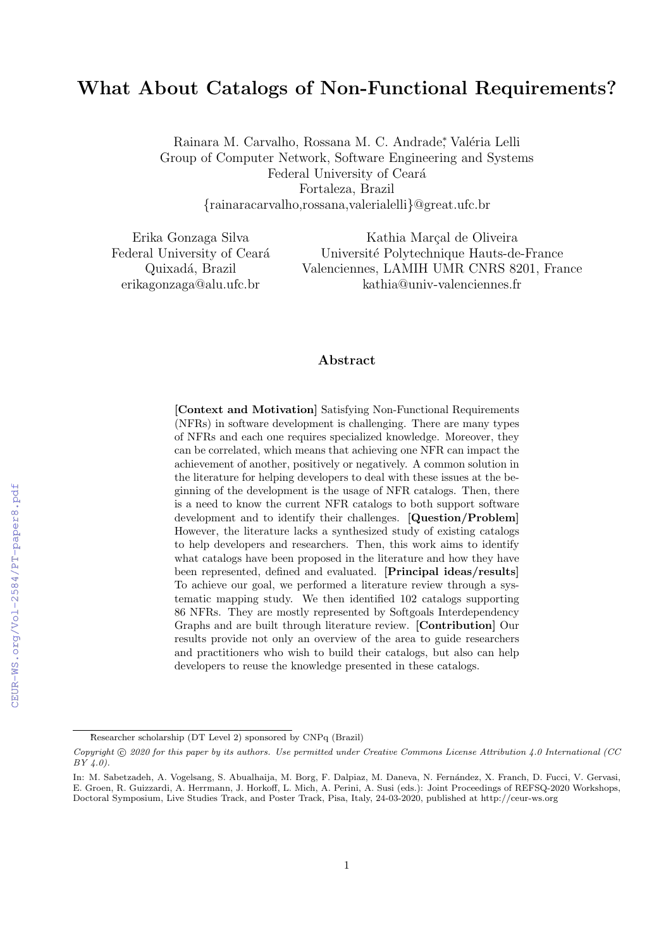# What About Catalogs of Non-Functional Requirements?

Rainara M. Carvalho, Rossana M. C. Andrade; Valéria Lelli Group of Computer Network, Software Engineering and Systems Federal University of Ceará Fortaleza, Brazil {rainaracarvalho,rossana,valerialelli}@great.ufc.br

Erika Gonzaga Silva Federal University of Ceará Quixadá, Brazil erikagonzaga@alu.ufc.br

Kathia Marçal de Oliveira Universit´e Polytechnique Hauts-de-France Valenciennes, LAMIH UMR CNRS 8201, France kathia@univ-valenciennes.fr

## Abstract

[Context and Motivation] Satisfying Non-Functional Requirements (NFRs) in software development is challenging. There are many types of NFRs and each one requires specialized knowledge. Moreover, they can be correlated, which means that achieving one NFR can impact the achievement of another, positively or negatively. A common solution in the literature for helping developers to deal with these issues at the beginning of the development is the usage of NFR catalogs. Then, there is a need to know the current NFR catalogs to both support software development and to identify their challenges. [Question/Problem] However, the literature lacks a synthesized study of existing catalogs to help developers and researchers. Then, this work aims to identify what catalogs have been proposed in the literature and how they have been represented, defined and evaluated. [Principal ideas/results] To achieve our goal, we performed a literature review through a systematic mapping study. We then identified 102 catalogs supporting 86 NFRs. They are mostly represented by Softgoals Interdependency Graphs and are built through literature review. [Contribution] Our results provide not only an overview of the area to guide researchers and practitioners who wish to build their catalogs, but also can help developers to reuse the knowledge presented in these catalogs.

<sup>∗</sup>Researcher scholarship (DT Level 2) sponsored by CNPq (Brazil)

Copyright © 2020 for this paper by its authors. Use permitted under Creative Commons License Attribution 4.0 International (CC BY 4.0).

In: M. Sabetzadeh, A. Vogelsang, S. Abualhaija, M. Borg, F. Dalpiaz, M. Daneva, N. Fernández, X. Franch, D. Fucci, V. Gervasi, E. Groen, R. Guizzardi, A. Herrmann, J. Horkoff, L. Mich, A. Perini, A. Susi (eds.): Joint Proceedings of REFSQ-2020 Workshops, Doctoral Symposium, Live Studies Track, and Poster Track, Pisa, Italy, 24-03-2020, published at http://ceur-ws.org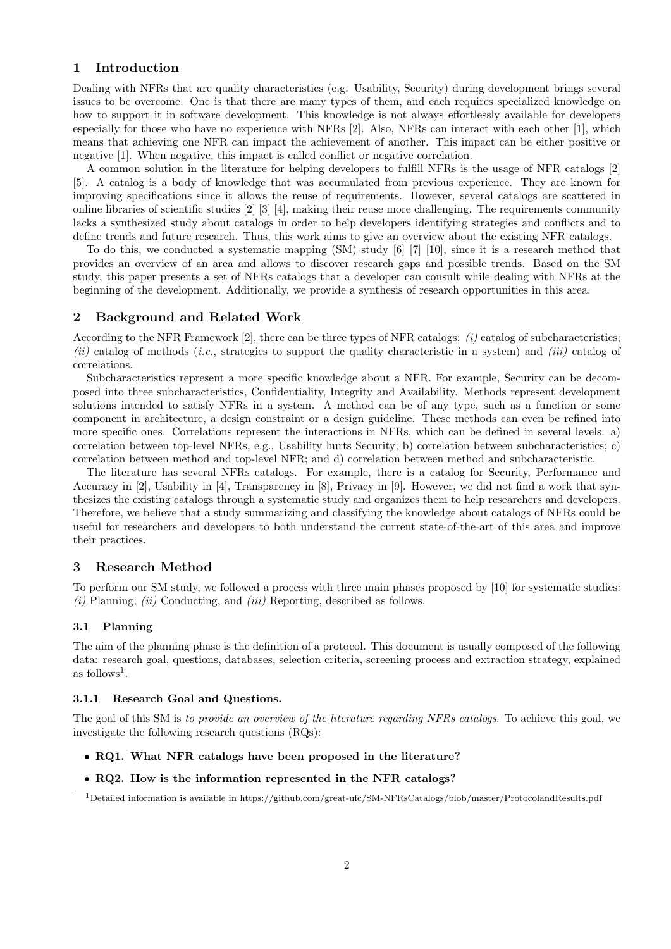# 1 Introduction

Dealing with NFRs that are quality characteristics (e.g. Usability, Security) during development brings several issues to be overcome. One is that there are many types of them, and each requires specialized knowledge on how to support it in software development. This knowledge is not always effortlessly available for developers especially for those who have no experience with NFRs [2]. Also, NFRs can interact with each other [1], which means that achieving one NFR can impact the achievement of another. This impact can be either positive or negative [1]. When negative, this impact is called conflict or negative correlation.

A common solution in the literature for helping developers to fulfill NFRs is the usage of NFR catalogs [2] [5]. A catalog is a body of knowledge that was accumulated from previous experience. They are known for improving specifications since it allows the reuse of requirements. However, several catalogs are scattered in online libraries of scientific studies [2] [3] [4], making their reuse more challenging. The requirements community lacks a synthesized study about catalogs in order to help developers identifying strategies and conflicts and to define trends and future research. Thus, this work aims to give an overview about the existing NFR catalogs.

To do this, we conducted a systematic mapping (SM) study [6] [7] [10], since it is a research method that provides an overview of an area and allows to discover research gaps and possible trends. Based on the SM study, this paper presents a set of NFRs catalogs that a developer can consult while dealing with NFRs at the beginning of the development. Additionally, we provide a synthesis of research opportunities in this area.

## 2 Background and Related Work

According to the NFR Framework  $[2]$ , there can be three types of NFR catalogs:  $(i)$  catalog of subcharacteristics; (ii) catalog of methods (i.e., strategies to support the quality characteristic in a system) and (iii) catalog of correlations.

Subcharacteristics represent a more specific knowledge about a NFR. For example, Security can be decomposed into three subcharacteristics, Confidentiality, Integrity and Availability. Methods represent development solutions intended to satisfy NFRs in a system. A method can be of any type, such as a function or some component in architecture, a design constraint or a design guideline. These methods can even be refined into more specific ones. Correlations represent the interactions in NFRs, which can be defined in several levels: a) correlation between top-level NFRs, e.g., Usability hurts Security; b) correlation between subcharacteristics; c) correlation between method and top-level NFR; and d) correlation between method and subcharacteristic.

The literature has several NFRs catalogs. For example, there is a catalog for Security, Performance and Accuracy in [2], Usability in [4], Transparency in [8], Privacy in [9]. However, we did not find a work that synthesizes the existing catalogs through a systematic study and organizes them to help researchers and developers. Therefore, we believe that a study summarizing and classifying the knowledge about catalogs of NFRs could be useful for researchers and developers to both understand the current state-of-the-art of this area and improve their practices.

# 3 Research Method

To perform our SM study, we followed a process with three main phases proposed by [10] for systematic studies:  $(i)$  Planning;  $(ii)$  Conducting, and  $(iii)$  Reporting, described as follows.

#### 3.1 Planning

The aim of the planning phase is the definition of a protocol. This document is usually composed of the following data: research goal, questions, databases, selection criteria, screening process and extraction strategy, explained as follows<sup>1</sup>.

## 3.1.1 Research Goal and Questions.

The goal of this SM is to provide an overview of the literature regarding NFRs catalogs. To achieve this goal, we investigate the following research questions (RQs):

- RQ1. What NFR catalogs have been proposed in the literature?
- RQ2. How is the information represented in the NFR catalogs?

<sup>1</sup>Detailed information is available in https://github.com/great-ufc/SM-NFRsCatalogs/blob/master/ProtocolandResults.pdf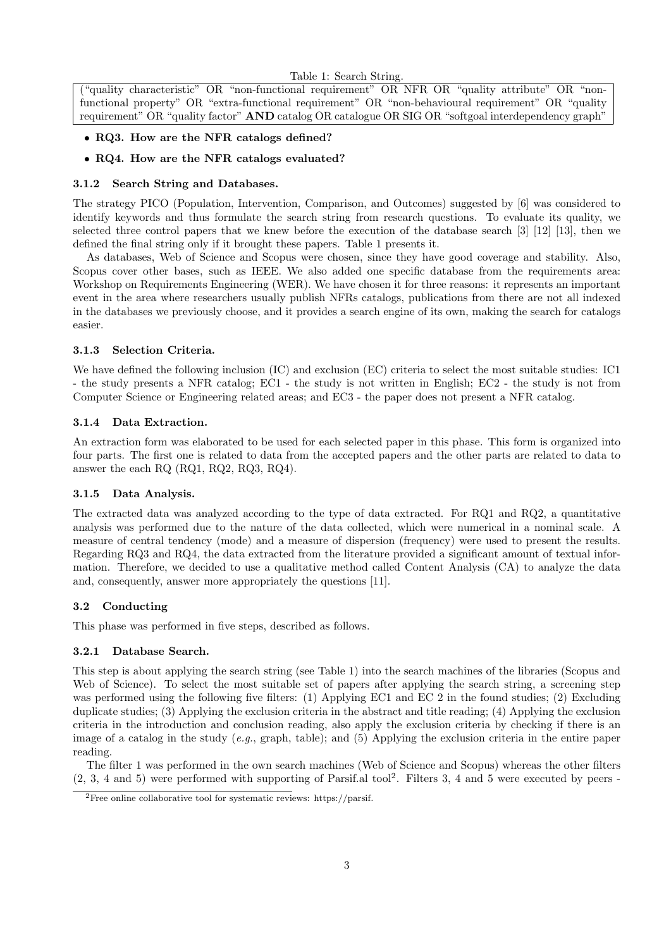Table 1: Search String.

("quality characteristic" OR "non-functional requirement" OR NFR OR "quality attribute" OR "nonfunctional property" OR "extra-functional requirement" OR "non-behavioural requirement" OR "quality requirement" OR "quality factor" AND catalog OR catalogue OR SIG OR "softgoal interdependency graph"

- RQ3. How are the NFR catalogs defined?
- RQ4. How are the NFR catalogs evaluated?

## 3.1.2 Search String and Databases.

The strategy PICO (Population, Intervention, Comparison, and Outcomes) suggested by [6] was considered to identify keywords and thus formulate the search string from research questions. To evaluate its quality, we selected three control papers that we knew before the execution of the database search [3] [12] [13], then we defined the final string only if it brought these papers. Table 1 presents it.

As databases, Web of Science and Scopus were chosen, since they have good coverage and stability. Also, Scopus cover other bases, such as IEEE. We also added one specific database from the requirements area: Workshop on Requirements Engineering (WER). We have chosen it for three reasons: it represents an important event in the area where researchers usually publish NFRs catalogs, publications from there are not all indexed in the databases we previously choose, and it provides a search engine of its own, making the search for catalogs easier.

## 3.1.3 Selection Criteria.

We have defined the following inclusion (IC) and exclusion (EC) criteria to select the most suitable studies: IC1 - the study presents a NFR catalog; EC1 - the study is not written in English; EC2 - the study is not from Computer Science or Engineering related areas; and EC3 - the paper does not present a NFR catalog.

## 3.1.4 Data Extraction.

An extraction form was elaborated to be used for each selected paper in this phase. This form is organized into four parts. The first one is related to data from the accepted papers and the other parts are related to data to answer the each RQ (RQ1, RQ2, RQ3, RQ4).

# 3.1.5 Data Analysis.

The extracted data was analyzed according to the type of data extracted. For RQ1 and RQ2, a quantitative analysis was performed due to the nature of the data collected, which were numerical in a nominal scale. A measure of central tendency (mode) and a measure of dispersion (frequency) were used to present the results. Regarding RQ3 and RQ4, the data extracted from the literature provided a significant amount of textual information. Therefore, we decided to use a qualitative method called Content Analysis (CA) to analyze the data and, consequently, answer more appropriately the questions [11].

# 3.2 Conducting

This phase was performed in five steps, described as follows.

#### 3.2.1 Database Search.

This step is about applying the search string (see Table 1) into the search machines of the libraries (Scopus and Web of Science). To select the most suitable set of papers after applying the search string, a screening step was performed using the following five filters: (1) Applying EC1 and EC 2 in the found studies; (2) Excluding duplicate studies; (3) Applying the exclusion criteria in the abstract and title reading; (4) Applying the exclusion criteria in the introduction and conclusion reading, also apply the exclusion criteria by checking if there is an image of a catalog in the study  $(e.g., \text{graph}, \text{table})$ ; and (5) Applying the exclusion criteria in the entire paper reading.

The filter 1 was performed in the own search machines (Web of Science and Scopus) whereas the other filters (2, 3, 4 and 5) were performed with supporting of Parsif.al tool<sup>2</sup> . Filters 3, 4 and 5 were executed by peers -

<sup>2</sup>Free online collaborative tool for systematic reviews: https://parsif.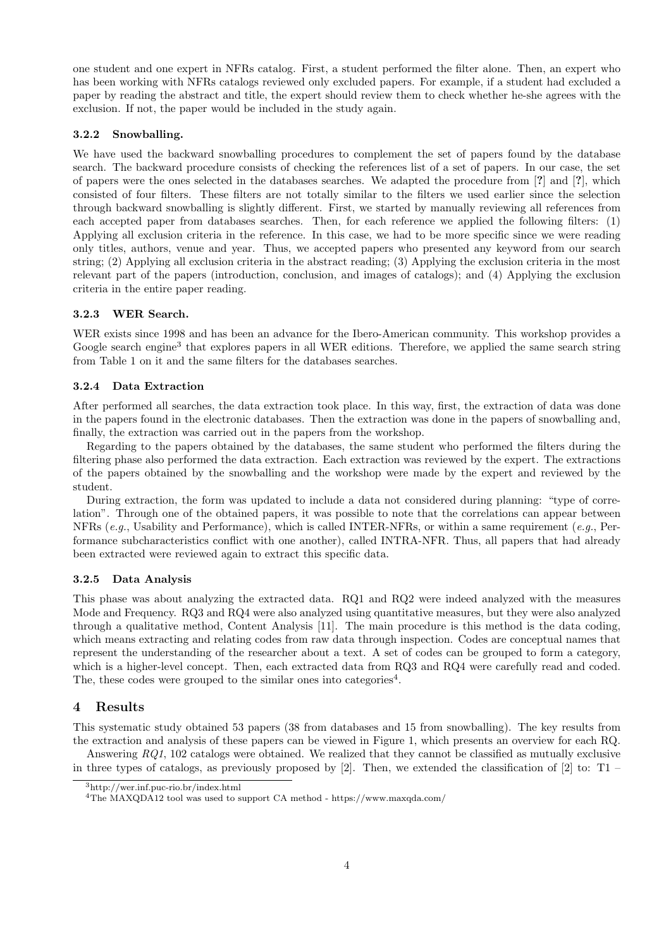one student and one expert in NFRs catalog. First, a student performed the filter alone. Then, an expert who has been working with NFRs catalogs reviewed only excluded papers. For example, if a student had excluded a paper by reading the abstract and title, the expert should review them to check whether he-she agrees with the exclusion. If not, the paper would be included in the study again.

#### 3.2.2 Snowballing.

We have used the backward snowballing procedures to complement the set of papers found by the database search. The backward procedure consists of checking the references list of a set of papers. In our case, the set of papers were the ones selected in the databases searches. We adapted the procedure from [?] and [?], which consisted of four filters. These filters are not totally similar to the filters we used earlier since the selection through backward snowballing is slightly different. First, we started by manually reviewing all references from each accepted paper from databases searches. Then, for each reference we applied the following filters: (1) Applying all exclusion criteria in the reference. In this case, we had to be more specific since we were reading only titles, authors, venue and year. Thus, we accepted papers who presented any keyword from our search string; (2) Applying all exclusion criteria in the abstract reading; (3) Applying the exclusion criteria in the most relevant part of the papers (introduction, conclusion, and images of catalogs); and (4) Applying the exclusion criteria in the entire paper reading.

#### 3.2.3 WER Search.

WER exists since 1998 and has been an advance for the Ibero-American community. This workshop provides a Google search engine<sup>3</sup> that explores papers in all WER editions. Therefore, we applied the same search string from Table 1 on it and the same filters for the databases searches.

#### 3.2.4 Data Extraction

After performed all searches, the data extraction took place. In this way, first, the extraction of data was done in the papers found in the electronic databases. Then the extraction was done in the papers of snowballing and, finally, the extraction was carried out in the papers from the workshop.

Regarding to the papers obtained by the databases, the same student who performed the filters during the filtering phase also performed the data extraction. Each extraction was reviewed by the expert. The extractions of the papers obtained by the snowballing and the workshop were made by the expert and reviewed by the student.

During extraction, the form was updated to include a data not considered during planning: "type of correlation". Through one of the obtained papers, it was possible to note that the correlations can appear between NFRs (e.g., Usability and Performance), which is called INTER-NFRs, or within a same requirement (e.g., Performance subcharacteristics conflict with one another), called INTRA-NFR. Thus, all papers that had already been extracted were reviewed again to extract this specific data.

#### 3.2.5 Data Analysis

This phase was about analyzing the extracted data. RQ1 and RQ2 were indeed analyzed with the measures Mode and Frequency. RQ3 and RQ4 were also analyzed using quantitative measures, but they were also analyzed through a qualitative method, Content Analysis [11]. The main procedure is this method is the data coding, which means extracting and relating codes from raw data through inspection. Codes are conceptual names that represent the understanding of the researcher about a text. A set of codes can be grouped to form a category, which is a higher-level concept. Then, each extracted data from RQ3 and RQ4 were carefully read and coded. The, these codes were grouped to the similar ones into categories<sup>4</sup>.

# 4 Results

This systematic study obtained 53 papers (38 from databases and 15 from snowballing). The key results from the extraction and analysis of these papers can be viewed in Figure 1, which presents an overview for each RQ.

Answering  $RQ1$ , 102 catalogs were obtained. We realized that they cannot be classified as mutually exclusive in three types of catalogs, as previously proposed by  $[2]$ . Then, we extended the classification of  $[2]$  to: T1 –

<sup>3</sup>http://wer.inf.puc-rio.br/index.html

<sup>&</sup>lt;sup>4</sup>The MAXQDA12 tool was used to support CA method - https://www.maxqda.com/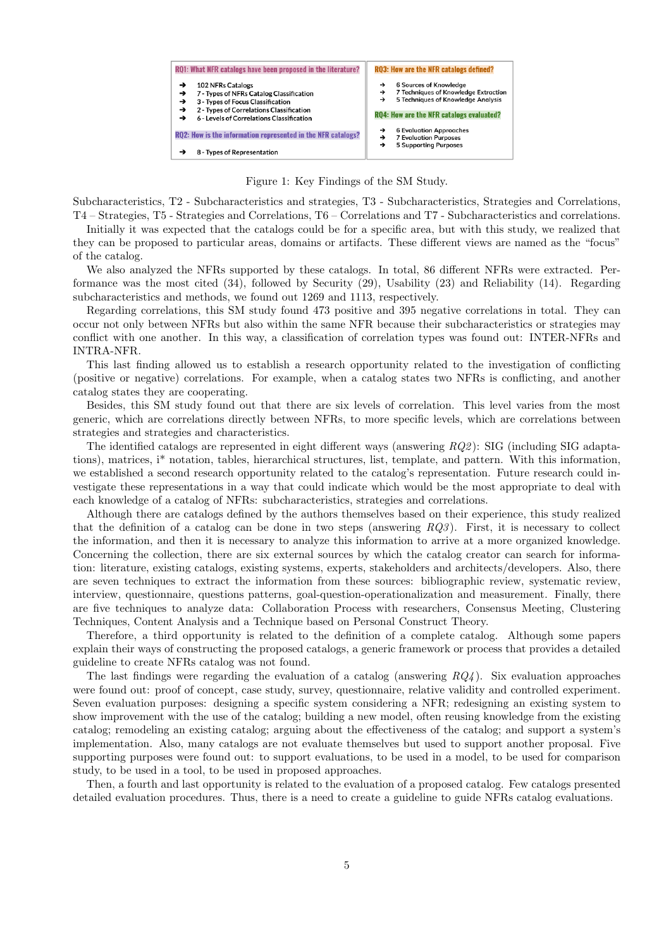

Figure 1: Key Findings of the SM Study.

Subcharacteristics, T2 - Subcharacteristics and strategies, T3 - Subcharacteristics, Strategies and Correlations, T4 – Strategies, T5 - Strategies and Correlations, T6 – Correlations and T7 - Subcharacteristics and correlations.

Initially it was expected that the catalogs could be for a specific area, but with this study, we realized that they can be proposed to particular areas, domains or artifacts. These different views are named as the "focus" of the catalog.

We also analyzed the NFRs supported by these catalogs. In total, 86 different NFRs were extracted. Performance was the most cited (34), followed by Security (29), Usability (23) and Reliability (14). Regarding subcharacteristics and methods, we found out 1269 and 1113, respectively.

Regarding correlations, this SM study found 473 positive and 395 negative correlations in total. They can occur not only between NFRs but also within the same NFR because their subcharacteristics or strategies may conflict with one another. In this way, a classification of correlation types was found out: INTER-NFRs and INTRA-NFR.

This last finding allowed us to establish a research opportunity related to the investigation of conflicting (positive or negative) correlations. For example, when a catalog states two NFRs is conflicting, and another catalog states they are cooperating.

Besides, this SM study found out that there are six levels of correlation. This level varies from the most generic, which are correlations directly between NFRs, to more specific levels, which are correlations between strategies and strategies and characteristics.

The identified catalogs are represented in eight different ways (answering RQ2 ): SIG (including SIG adaptations), matrices, i\* notation, tables, hierarchical structures, list, template, and pattern. With this information, we established a second research opportunity related to the catalog's representation. Future research could investigate these representations in a way that could indicate which would be the most appropriate to deal with each knowledge of a catalog of NFRs: subcharacteristics, strategies and correlations.

Although there are catalogs defined by the authors themselves based on their experience, this study realized that the definition of a catalog can be done in two steps (answering  $RQ3$ ). First, it is necessary to collect the information, and then it is necessary to analyze this information to arrive at a more organized knowledge. Concerning the collection, there are six external sources by which the catalog creator can search for information: literature, existing catalogs, existing systems, experts, stakeholders and architects/developers. Also, there are seven techniques to extract the information from these sources: bibliographic review, systematic review, interview, questionnaire, questions patterns, goal-question-operationalization and measurement. Finally, there are five techniques to analyze data: Collaboration Process with researchers, Consensus Meeting, Clustering Techniques, Content Analysis and a Technique based on Personal Construct Theory.

Therefore, a third opportunity is related to the definition of a complete catalog. Although some papers explain their ways of constructing the proposed catalogs, a generic framework or process that provides a detailed guideline to create NFRs catalog was not found.

The last findings were regarding the evaluation of a catalog (answering  $RQ4$ ). Six evaluation approaches were found out: proof of concept, case study, survey, questionnaire, relative validity and controlled experiment. Seven evaluation purposes: designing a specific system considering a NFR; redesigning an existing system to show improvement with the use of the catalog; building a new model, often reusing knowledge from the existing catalog; remodeling an existing catalog; arguing about the effectiveness of the catalog; and support a system's implementation. Also, many catalogs are not evaluate themselves but used to support another proposal. Five supporting purposes were found out: to support evaluations, to be used in a model, to be used for comparison study, to be used in a tool, to be used in proposed approaches.

Then, a fourth and last opportunity is related to the evaluation of a proposed catalog. Few catalogs presented detailed evaluation procedures. Thus, there is a need to create a guideline to guide NFRs catalog evaluations.